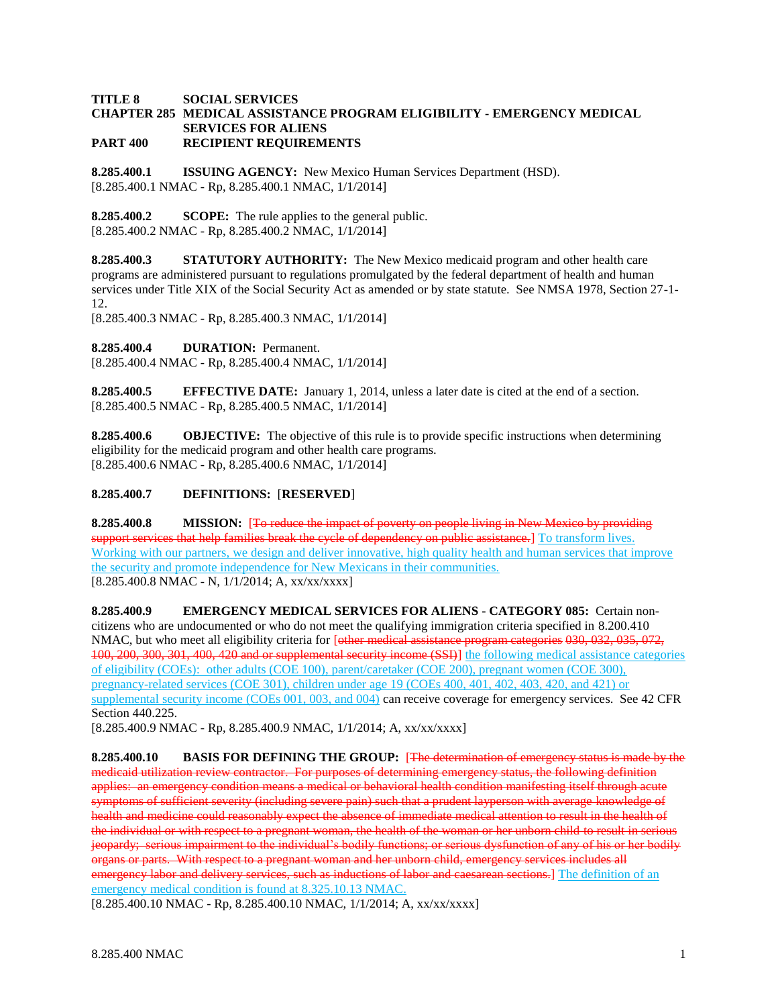## **TITLE 8 SOCIAL SERVICES CHAPTER 285 MEDICAL ASSISTANCE PROGRAM ELIGIBILITY - EMERGENCY MEDICAL SERVICES FOR ALIENS PART 400 RECIPIENT REQUIREMENTS**

**8.285.400.1 ISSUING AGENCY:** New Mexico Human Services Department (HSD). [8.285.400.1 NMAC - Rp, 8.285.400.1 NMAC, 1/1/2014]

**8.285.400.2 SCOPE:** The rule applies to the general public. [8.285.400.2 NMAC - Rp, 8.285.400.2 NMAC, 1/1/2014]

**8.285.400.3 STATUTORY AUTHORITY:** The New Mexico medicaid program and other health care programs are administered pursuant to regulations promulgated by the federal department of health and human services under Title XIX of the Social Security Act as amended or by state statute. See NMSA 1978, Section 27-1- 12.

[8.285.400.3 NMAC - Rp, 8.285.400.3 NMAC, 1/1/2014]

**8.285.400.4 DURATION:** Permanent.

[8.285.400.4 NMAC - Rp, 8.285.400.4 NMAC, 1/1/2014]

**8.285.400.5 EFFECTIVE DATE:** January 1, 2014, unless a later date is cited at the end of a section. [8.285.400.5 NMAC - Rp, 8.285.400.5 NMAC, 1/1/2014]

**8.285.400.6 OBJECTIVE:** The objective of this rule is to provide specific instructions when determining eligibility for the medicaid program and other health care programs. [8.285.400.6 NMAC - Rp, 8.285.400.6 NMAC, 1/1/2014]

# **8.285.400.7 DEFINITIONS:** [**RESERVED**]

**8.285.400.8 MISSION:** [To reduce the impact of poverty on people living in New Mexico by providing support services that help families break the cycle of dependency on public assistance. To transform lives. Working with our partners, we design and deliver innovative, high quality health and human services that improve the security and promote independence for New Mexicans in their communities. [8.285.400.8 NMAC - N, 1/1/2014; A, xx/xx/xxxx]

**8.285.400.9 EMERGENCY MEDICAL SERVICES FOR ALIENS - CATEGORY 085:** Certain noncitizens who are undocumented or who do not meet the qualifying immigration criteria specified in 8.200.410 NMAC, but who meet all eligibility criteria for [other medical assistance program categories 030, 032, 035, 072, 100, 200, 300, 301, 400, 420 and or supplemental security income (SSI)] the following medical assistance categories of eligibility (COEs): other adults (COE 100), parent/caretaker (COE 200), pregnant women (COE 300), pregnancy-related services (COE 301), children under age 19 (COEs 400, 401, 402, 403, 420, and 421) or supplemental security income (COEs 001, 003, and 004) can receive coverage for emergency services. See 42 CFR Section 440.225.

[8.285.400.9 NMAC - Rp, 8.285.400.9 NMAC, 1/1/2014; A, xx/xx/xxxx]

**8.285.400.10 BASIS FOR DEFINING THE GROUP:** [The determination of emergency status is made by the medicaid utilization review contractor. For purposes of determining emergency status, the following definition applies: an emergency condition means a medical or behavioral health condition manifesting itself through acute symptoms of sufficient severity (including severe pain) such that a prudent layperson with average knowledge of health and medicine could reasonably expect the absence of immediate medical attention to result in the health of the individual or with respect to a pregnant woman, the health of the woman or her unborn child to result in serious jeopardy; serious impairment to the individual's bodily functions; or serious dysfunction of any of his or her bodily organs or parts. With respect to a pregnant woman and her unborn child, emergency services includes all emergency labor and delivery services, such as inductions of labor and caesarean sections.] The definition of an emergency medical condition is found at 8.325.10.13 NMAC.

[8.285.400.10 NMAC - Rp, 8.285.400.10 NMAC, 1/1/2014; A, xx/xx/xxxx]